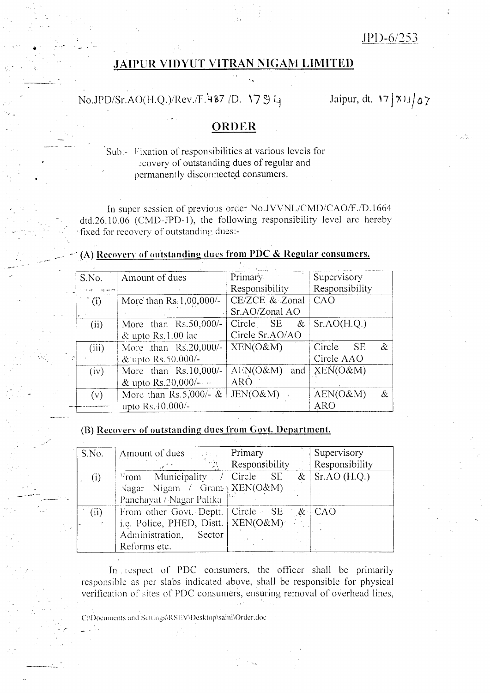$JPD-6/253$ 

## **JAIPUR VIDYUT VITRAN NIGAM LIMITED**

# No.JPD/Sr.AO(H.Q.)/Rev./F.487 /D. 1794

Jaipur, dt. 17 | X11 | 07

## ORDER

### Sub:- Fixation of responsibilities at various levels for ecovery of outstanding dues of regular and permanently disconnected consumers.

In super session of previous order No.JVVNL/CMD/CAO/F./D.1664  $dtd.26.10.06$  (CMD-JPD-1), the following responsibility level are hereby fixed for recovery of outstanding dues:-

| S.No. | Amount of dues           | Primary           | Supervisory            |
|-------|--------------------------|-------------------|------------------------|
|       |                          | Responsibility    | Responsibility         |
| (i)   | More' than Rs.1,00,000/- | CE/ZCE & Zonal    | CAO                    |
|       |                          | Sr.AO/Zonal AO    |                        |
| (ii)  | More than $Rs.50,000/-$  | Circle SE<br>$\&$ | Sr.AO(H.Q.)            |
|       | & upto Rs.1.00 lac       | Circle Sr.AO/AO   |                        |
| (iii) | More than Rs.20,000/-    | XEN(O&M)          | $\&$<br>Circle<br>- SE |
|       | & upto Rs.50,000/-       |                   | Circle AAO             |
| (iv)  | More than Rs.10,000/-    | AEN(O&M)<br>and   | $XEN(O\&M)$            |
|       | & upto Rs.20,000/ $-$    | <b>ARO</b>        |                        |
| (v)   | More than Rs.5,000/- $&$ | JEN(O&M)          | AEN(O&M)<br>&          |
|       | upto Rs.10,000/-         |                   | <b>ARO</b>             |

### (A) Recovery of outstanding dues from PDC & Regular consumers.

### (B) Recovery of outstanding dues from Govt. Department.

| S.No. | Amount of dues<br>$\sim 5\times 10^{-5}$<br>$\sim 10^{10}$ M $_\odot$<br><b>SALE</b>                     | Primary<br>Responsibility | Supervisory<br>Responsibility |
|-------|----------------------------------------------------------------------------------------------------------|---------------------------|-------------------------------|
| (i)   | $\triangleright$ rom Municipality / Circle SE<br>Nagar Nigam / Gram XEN(O&M)<br>Panchayat / Nagar Palika | $\&$                      | SrAO(H.Q.)                    |
| (ii)  | From other Govt. Deptt.<br>i.e. Police, PHED, Distt.<br>Administration, Sector<br>Reforms etc.           | $Circle - SE$<br>XEN(O&M) | $\&$ CAO                      |

In respect of PDC consumers, the officer shall be primarily responsible as per slabs indicated above, shall be responsible for physical verification of sites of PDC consumers, ensuring removal of overhead lines,

C:\Documents and Settings\RSEV\Desktop\saini\Order.doc